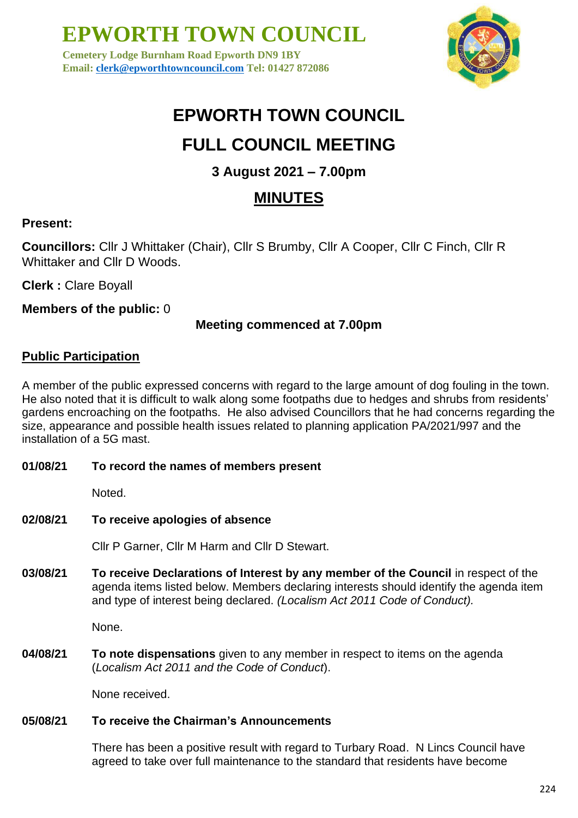**Cemetery Lodge Burnham Road Epworth DN9 1BY Email: [clerk@epworthtowncouncil.com](mailto:clerk@epworthtowncouncil.com) Tel: 01427 872086**



# **EPWORTH TOWN COUNCIL**

# **FULL COUNCIL MEETING**

# **3 August 2021 – 7.00pm**

# **MINUTES**

# **Present:**

**Councillors:** Cllr J Whittaker (Chair), Cllr S Brumby, Cllr A Cooper, Cllr C Finch, Cllr R Whittaker and Cllr D Woods.

**Clerk :** Clare Boyall

**Members of the public:** 0

## **Meeting commenced at 7.00pm**

## **Public Participation**

A member of the public expressed concerns with regard to the large amount of dog fouling in the town. He also noted that it is difficult to walk along some footpaths due to hedges and shrubs from residents' gardens encroaching on the footpaths. He also advised Councillors that he had concerns regarding the size, appearance and possible health issues related to planning application PA/2021/997 and the installation of a 5G mast.

**01/08/21 To record the names of members present**

Noted.

**02/08/21 To receive apologies of absence**

Cllr P Garner, Cllr M Harm and Cllr D Stewart.

**03/08/21 To receive Declarations of Interest by any member of the Council** in respect of the agenda items listed below. Members declaring interests should identify the agenda item and type of interest being declared. *(Localism Act 2011 Code of Conduct).*

None.

**04/08/21 To note dispensations** given to any member in respect to items on the agenda (*Localism Act 2011 and the Code of Conduct*).

None received.

### **05/08/21 To receive the Chairman's Announcements**

There has been a positive result with regard to Turbary Road. N Lincs Council have agreed to take over full maintenance to the standard that residents have become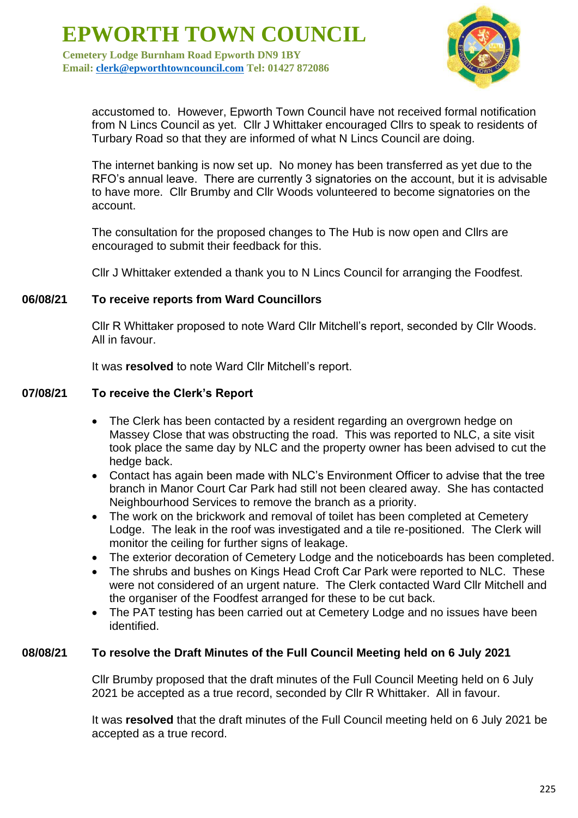**Cemetery Lodge Burnham Road Epworth DN9 1BY Email: [clerk@epworthtowncouncil.com](mailto:clerk@epworthtowncouncil.com) Tel: 01427 872086**



accustomed to. However, Epworth Town Council have not received formal notification from N Lincs Council as yet. Cllr J Whittaker encouraged Cllrs to speak to residents of Turbary Road so that they are informed of what N Lincs Council are doing.

The internet banking is now set up. No money has been transferred as yet due to the RFO's annual leave. There are currently 3 signatories on the account, but it is advisable to have more. Cllr Brumby and Cllr Woods volunteered to become signatories on the account.

The consultation for the proposed changes to The Hub is now open and Cllrs are encouraged to submit their feedback for this.

Cllr J Whittaker extended a thank you to N Lincs Council for arranging the Foodfest.

#### **06/08/21 To receive reports from Ward Councillors**

Cllr R Whittaker proposed to note Ward Cllr Mitchell's report, seconded by Cllr Woods. All in favour.

It was **resolved** to note Ward Cllr Mitchell's report.

#### **07/08/21 To receive the Clerk's Report**

- The Clerk has been contacted by a resident regarding an overgrown hedge on Massey Close that was obstructing the road. This was reported to NLC, a site visit took place the same day by NLC and the property owner has been advised to cut the hedge back.
- Contact has again been made with NLC's Environment Officer to advise that the tree branch in Manor Court Car Park had still not been cleared away. She has contacted Neighbourhood Services to remove the branch as a priority.
- The work on the brickwork and removal of toilet has been completed at Cemetery Lodge. The leak in the roof was investigated and a tile re-positioned. The Clerk will monitor the ceiling for further signs of leakage.
- The exterior decoration of Cemetery Lodge and the noticeboards has been completed.
- The shrubs and bushes on Kings Head Croft Car Park were reported to NLC. These were not considered of an urgent nature. The Clerk contacted Ward Cllr Mitchell and the organiser of the Foodfest arranged for these to be cut back.
- The PAT testing has been carried out at Cemetery Lodge and no issues have been identified.

#### **08/08/21 To resolve the Draft Minutes of the Full Council Meeting held on 6 July 2021**

Cllr Brumby proposed that the draft minutes of the Full Council Meeting held on 6 July 2021 be accepted as a true record, seconded by Cllr R Whittaker. All in favour.

It was **resolved** that the draft minutes of the Full Council meeting held on 6 July 2021 be accepted as a true record.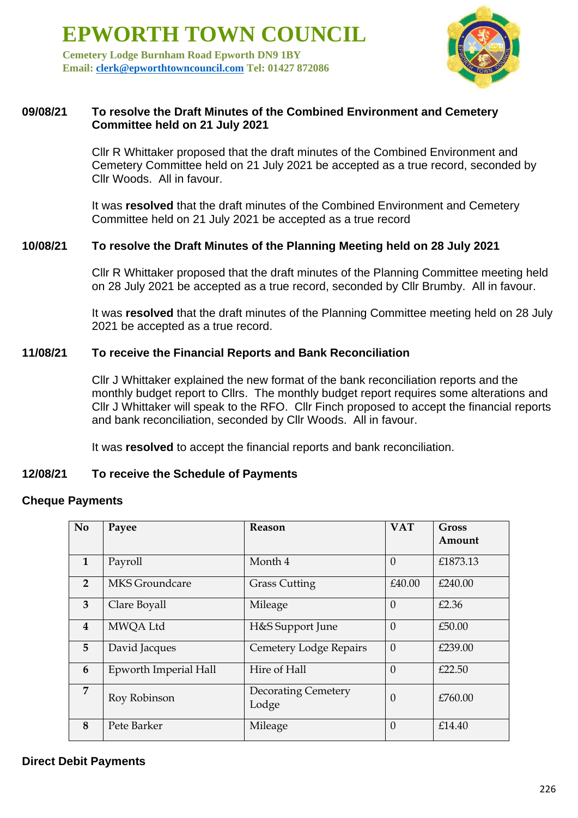**Cemetery Lodge Burnham Road Epworth DN9 1BY Email: [clerk@epworthtowncouncil.com](mailto:clerk@epworthtowncouncil.com) Tel: 01427 872086**



#### **09/08/21 To resolve the Draft Minutes of the Combined Environment and Cemetery Committee held on 21 July 2021**

Cllr R Whittaker proposed that the draft minutes of the Combined Environment and Cemetery Committee held on 21 July 2021 be accepted as a true record, seconded by Cllr Woods. All in favour.

It was **resolved** that the draft minutes of the Combined Environment and Cemetery Committee held on 21 July 2021 be accepted as a true record

#### **10/08/21 To resolve the Draft Minutes of the Planning Meeting held on 28 July 2021**

Cllr R Whittaker proposed that the draft minutes of the Planning Committee meeting held on 28 July 2021 be accepted as a true record, seconded by Cllr Brumby. All in favour.

It was **resolved** that the draft minutes of the Planning Committee meeting held on 28 July 2021 be accepted as a true record.

#### **11/08/21 To receive the Financial Reports and Bank Reconciliation**

Cllr J Whittaker explained the new format of the bank reconciliation reports and the monthly budget report to Cllrs. The monthly budget report requires some alterations and Cllr J Whittaker will speak to the RFO. Cllr Finch proposed to accept the financial reports and bank reconciliation, seconded by Cllr Woods. All in favour.

It was **resolved** to accept the financial reports and bank reconciliation.

#### **12/08/21 To receive the Schedule of Payments**

### **Cheque Payments**

| N <sub>o</sub>          | Payee                 | Reason                              | <b>VAT</b> | Gross<br>Amount |
|-------------------------|-----------------------|-------------------------------------|------------|-----------------|
| $\mathbf{1}$            | Payroll               | Month 4                             | $\theta$   | £1873.13        |
| $\overline{2}$          | <b>MKS</b> Groundcare | <b>Grass Cutting</b>                | £40.00     | £240.00         |
| 3                       | Clare Boyall          | Mileage                             | $\theta$   | £2.36           |
| $\overline{\mathbf{4}}$ | MWQA Ltd              | H&S Support June                    | $\theta$   | £50.00          |
| 5 <sup>5</sup>          | David Jacques         | <b>Cemetery Lodge Repairs</b>       | $\theta$   | £239.00         |
| 6                       | Epworth Imperial Hall | Hire of Hall                        | $\theta$   | £22.50          |
| 7                       | Roy Robinson          | <b>Decorating Cemetery</b><br>Lodge | $\theta$   | £760.00         |
| 8                       | Pete Barker           | Mileage                             | $\theta$   | £14.40          |

#### **Direct Debit Payments**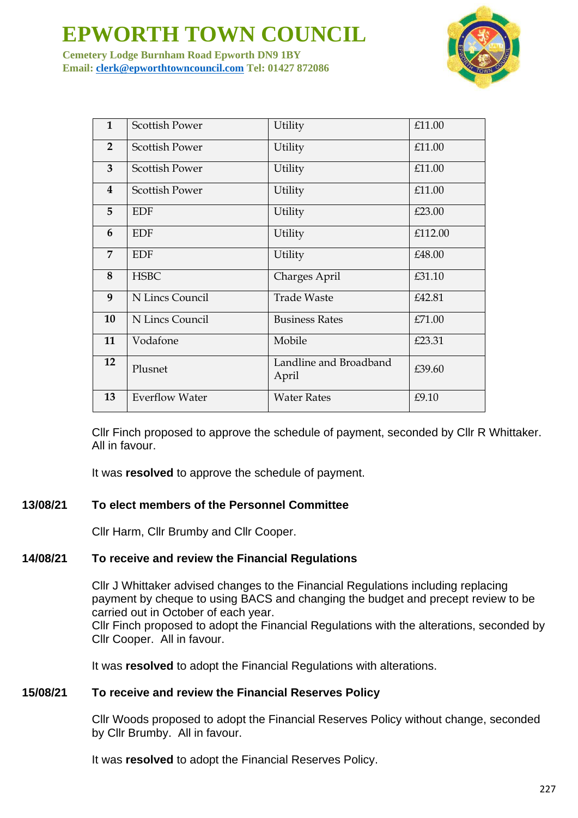

**Cemetery Lodge Burnham Road Epworth DN9 1BY Email: [clerk@epworthtowncouncil.com](mailto:clerk@epworthtowncouncil.com) Tel: 01427 872086**

| $\mathbf{1}$            | <b>Scottish Power</b> | Utility                         | £11.00  |
|-------------------------|-----------------------|---------------------------------|---------|
| $\overline{2}$          | <b>Scottish Power</b> | Utility                         | £11.00  |
| 3                       | <b>Scottish Power</b> | Utility                         | £11.00  |
| $\overline{\mathbf{4}}$ | <b>Scottish Power</b> | Utility                         | £11.00  |
| 5                       | <b>EDF</b>            | Utility                         | £23.00  |
| 6                       | <b>EDF</b>            | Utility                         | £112.00 |
| $\overline{7}$          | <b>EDF</b>            | Utility                         | £48.00  |
| 8                       | <b>HSBC</b>           | Charges April                   | £31.10  |
| 9                       | N Lincs Council       | <b>Trade Waste</b>              | £42.81  |
| 10                      | N Lincs Council       | <b>Business Rates</b>           | £71.00  |
| 11                      | Vodafone              | Mobile                          | £23.31  |
| 12                      | Plusnet               | Landline and Broadband<br>April | £39.60  |
| 13                      | <b>Everflow Water</b> | <b>Water Rates</b>              | £9.10   |

Cllr Finch proposed to approve the schedule of payment, seconded by Cllr R Whittaker. All in favour.

It was **resolved** to approve the schedule of payment.

#### **13/08/21 To elect members of the Personnel Committee**

Cllr Harm, Cllr Brumby and Cllr Cooper.

#### **14/08/21 To receive and review the Financial Regulations**

Cllr J Whittaker advised changes to the Financial Regulations including replacing payment by cheque to using BACS and changing the budget and precept review to be carried out in October of each year. Cllr Finch proposed to adopt the Financial Regulations with the alterations, seconded by Cllr Cooper. All in favour.

It was **resolved** to adopt the Financial Regulations with alterations.

#### **15/08/21 To receive and review the Financial Reserves Policy**

Cllr Woods proposed to adopt the Financial Reserves Policy without change, seconded by Cllr Brumby. All in favour.

It was **resolved** to adopt the Financial Reserves Policy.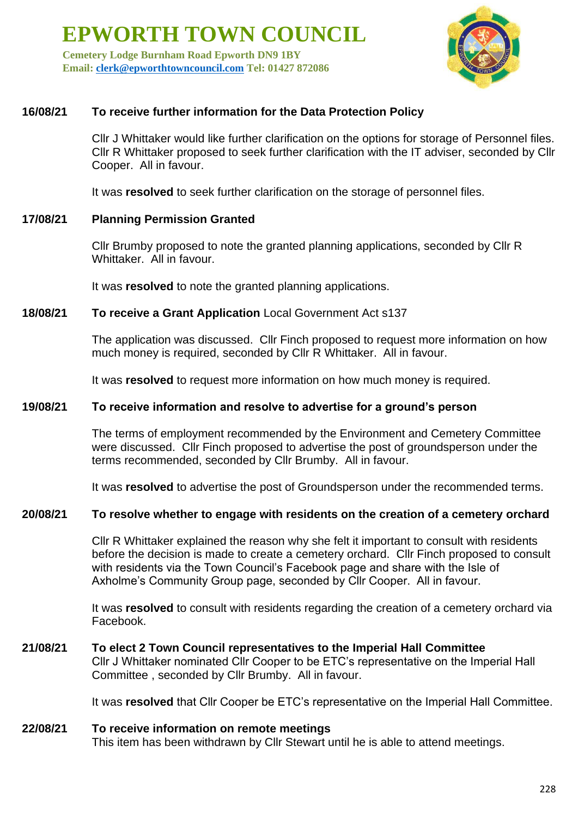**Cemetery Lodge Burnham Road Epworth DN9 1BY Email: [clerk@epworthtowncouncil.com](mailto:clerk@epworthtowncouncil.com) Tel: 01427 872086**



## **16/08/21 To receive further information for the Data Protection Policy**

Cllr J Whittaker would like further clarification on the options for storage of Personnel files. Cllr R Whittaker proposed to seek further clarification with the IT adviser, seconded by Cllr Cooper. All in favour.

It was **resolved** to seek further clarification on the storage of personnel files.

#### **17/08/21 Planning Permission Granted**

Cllr Brumby proposed to note the granted planning applications, seconded by Cllr R Whittaker. All in favour.

It was **resolved** to note the granted planning applications.

#### **18/08/21 To receive a Grant Application** Local Government Act s137

The application was discussed. Cllr Finch proposed to request more information on how much money is required, seconded by Cllr R Whittaker. All in favour.

It was **resolved** to request more information on how much money is required.

#### **19/08/21 To receive information and resolve to advertise for a ground's person**

The terms of employment recommended by the Environment and Cemetery Committee were discussed. Cllr Finch proposed to advertise the post of groundsperson under the terms recommended, seconded by Cllr Brumby. All in favour.

It was **resolved** to advertise the post of Groundsperson under the recommended terms.

#### **20/08/21 To resolve whether to engage with residents on the creation of a cemetery orchard**

Cllr R Whittaker explained the reason why she felt it important to consult with residents before the decision is made to create a cemetery orchard. Cllr Finch proposed to consult with residents via the Town Council's Facebook page and share with the Isle of Axholme's Community Group page, seconded by Cllr Cooper. All in favour.

It was **resolved** to consult with residents regarding the creation of a cemetery orchard via Facebook.

# **21/08/21 To elect 2 Town Council representatives to the Imperial Hall Committee**

Cllr J Whittaker nominated Cllr Cooper to be ETC's representative on the Imperial Hall Committee , seconded by Cllr Brumby. All in favour.

It was **resolved** that Cllr Cooper be ETC's representative on the Imperial Hall Committee.

#### **22/08/21 To receive information on remote meetings**

This item has been withdrawn by Cllr Stewart until he is able to attend meetings.